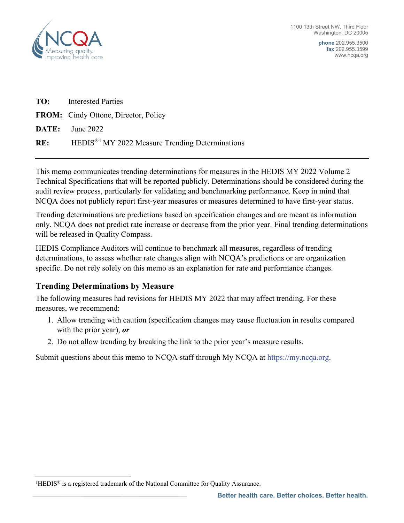

**phone** 202.955.3500 **fax** 202.955.3599 www.ncqa.org

| <b>TO:</b> Interested Parties                                   |
|-----------------------------------------------------------------|
| <b>FROM:</b> Cindy Ottone, Director, Policy                     |
| <b>DATE:</b> June 2022                                          |
| RE: HEDIS <sup>®1</sup> MY 2022 Measure Trending Determinations |

This memo communicates trending determinations for measures in the HEDIS MY 2022 Volume 2 Technical Specifications that will be reported publicly. Determinations should be considered during the audit review process, particularly for validating and benchmarking performance. Keep in mind that NCQA does not publicly report first-year measures or measures determined to have first-year status.

Trending determinations are predictions based on specification changes and are meant as information only. NCQA does not predict rate increase or decrease from the prior year. Final trending determinations will be released in Quality Compass.

HEDIS Compliance Auditors will continue to benchmark all measures, regardless of trending determinations, to assess whether rate changes align with NCQA's predictions or are organization specific. Do not rely solely on this memo as an explanation for rate and performance changes.

# **Trending Determinations by Measure**

The following measures had revisions for HEDIS MY 2022 that may affect trending. For these measures, we recommend:

- 1. Allow trending with caution (specification changes may cause fluctuation in results compared with the prior year), *or*
- 2. Do not allow trending by breaking the link to the prior year's measure results.

Submit questions about this memo to NCQA staff through My NCQA at  $\frac{https://my.ncqa.org}{https://my.ncqa.org}$ .

<span id="page-0-0"></span><sup>&</sup>lt;sup>1</sup>HEDIS<sup>®</sup> is a registered trademark of the National Committee for Quality Assurance.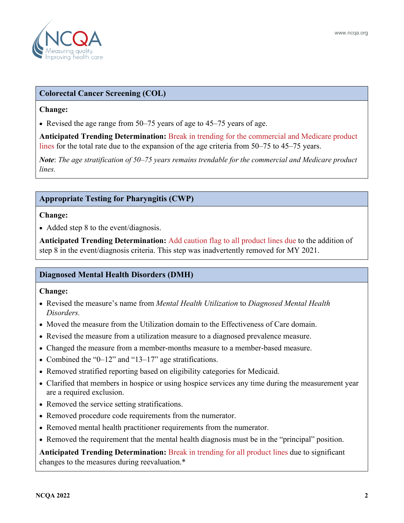

## **Colorectal Cancer Screening (COL)**

#### **Change:**

• Revised the age range from 50–75 years of age to 45–75 years of age.

**Anticipated Trending Determination:** Break in trending for the commercial and Medicare product lines for the total rate due to the expansion of the age criteria from 50–75 to 45–75 years.

*Note*: *The age stratification of 50–75 years remains trendable for the commercial and Medicare product lines.* 

## **Appropriate Testing for Pharyngitis (CWP)**

#### **Change:**

• Added step 8 to the event/diagnosis.

**Anticipated Trending Determination:** Add caution flag to all product lines due to the addition of step 8 in the event/diagnosis criteria. This step was inadvertently removed for MY 2021.

## **Diagnosed Mental Health Disorders (DMH)**

### **Change:**

- Revised the measure's name from *Mental Health Utilization* to *Diagnosed Mental Health Disorders.*
- Moved the measure from the Utilization domain to the Effectiveness of Care domain.
- Revised the measure from a utilization measure to a diagnosed prevalence measure.
- Changed the measure from a member-months measure to a member-based measure.
- Combined the "0–12" and "13–17" age stratifications.
- Removed stratified reporting based on eligibility categories for Medicaid.
- Clarified that members in hospice or using hospice services any time during the measurement year are a required exclusion.
- Removed the service setting stratifications.
- Removed procedure code requirements from the numerator.
- Removed mental health practitioner requirements from the numerator.
- Removed the requirement that the mental health diagnosis must be in the "principal" position.

**Anticipated Trending Determination:** Break in trending for all product lines due to significant changes to the measures during reevaluation.\*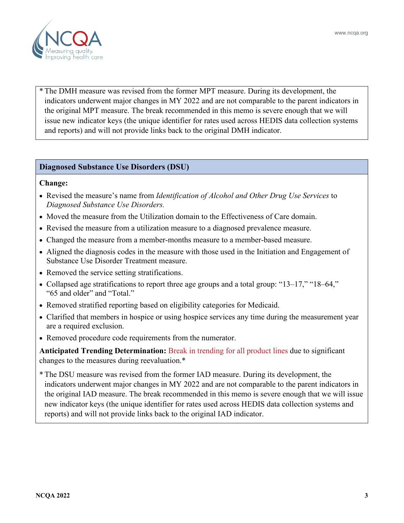



\* The DMH measure was revised from the former MPT measure. During its development, the indicators underwent major changes in MY 2022 and are not comparable to the parent indicators in the original MPT measure. The break recommended in this memo is severe enough that we will issue new indicator keys (the unique identifier for rates used across HEDIS data collection systems and reports) and will not provide links back to the original DMH indicator.

# **Diagnosed Substance Use Disorders (DSU)**

### **Change:**

- Revised the measure's name from *Identification of Alcohol and Other Drug Use Services* to *Diagnosed Substance Use Disorders.*
- Moved the measure from the Utilization domain to the Effectiveness of Care domain.
- Revised the measure from a utilization measure to a diagnosed prevalence measure.
- Changed the measure from a member-months measure to a member-based measure.
- Aligned the diagnosis codes in the measure with those used in the Initiation and Engagement of Substance Use Disorder Treatment measure.
- Removed the service setting stratifications.
- Collapsed age stratifications to report three age groups and a total group: "13–17," "18–64," "65 and older" and "Total."
- Removed stratified reporting based on eligibility categories for Medicaid.
- Clarified that members in hospice or using hospice services any time during the measurement year are a required exclusion.
- Removed procedure code requirements from the numerator.

**Anticipated Trending Determination:** Break in trending for all product lines due to significant changes to the measures during reevaluation.\*

\* The DSU measure was revised from the former IAD measure. During its development, the indicators underwent major changes in MY 2022 and are not comparable to the parent indicators in the original IAD measure. The break recommended in this memo is severe enough that we will issue new indicator keys (the unique identifier for rates used across HEDIS data collection systems and reports) and will not provide links back to the original IAD indicator.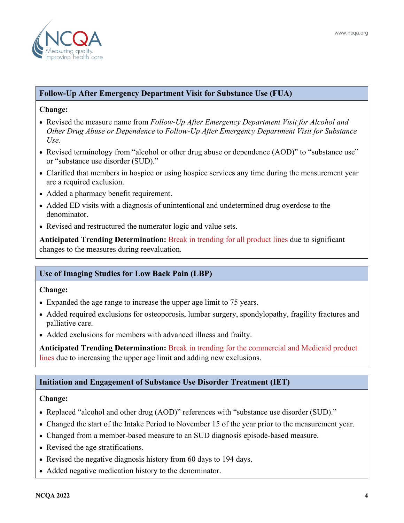

### **Follow-Up After Emergency Department Visit for Substance Use (FUA)**

#### **Change:**

- Revised the measure name from *Follow-Up After Emergency Department Visit for Alcohol and Other Drug Abuse or Dependence* to *Follow-Up After Emergency Department Visit for Substance Use.*
- Revised terminology from "alcohol or other drug abuse or dependence (AOD)" to "substance use" or "substance use disorder (SUD)."
- Clarified that members in hospice or using hospice services any time during the measurement year are a required exclusion.
- Added a pharmacy benefit requirement.
- Added ED visits with a diagnosis of unintentional and undetermined drug overdose to the denominator.
- Revised and restructured the numerator logic and value sets.

**Anticipated Trending Determination:** Break in trending for all product lines due to significant changes to the measures during reevaluation.

# **Use of Imaging Studies for Low Back Pain (LBP)**

### **Change:**

- Expanded the age range to increase the upper age limit to 75 years.
- Added required exclusions for osteoporosis, lumbar surgery, spondylopathy, fragility fractures and palliative care.
- Added exclusions for members with advanced illness and frailty.

**Anticipated Trending Determination:** Break in trending for the commercial and Medicaid product lines due to increasing the upper age limit and adding new exclusions.

## **Initiation and Engagement of Substance Use Disorder Treatment (IET)**

### **Change:**

- Replaced "alcohol and other drug (AOD)" references with "substance use disorder (SUD)."
- Changed the start of the Intake Period to November 15 of the year prior to the measurement year.
- Changed from a member-based measure to an SUD diagnosis episode-based measure.
- Revised the age stratifications.
- Revised the negative diagnosis history from 60 days to 194 days.
- Added negative medication history to the denominator.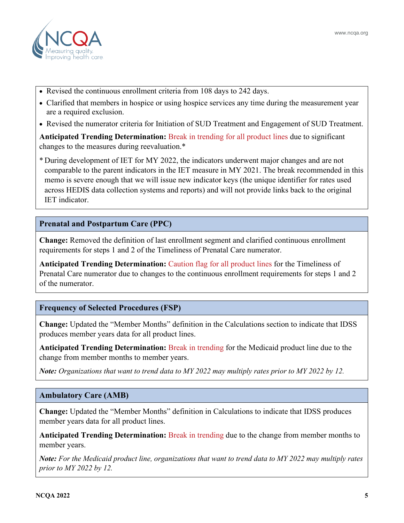- Revised the continuous enrollment criteria from 108 days to 242 days.
- Clarified that members in hospice or using hospice services any time during the measurement year are a required exclusion.
- Revised the numerator criteria for Initiation of SUD Treatment and Engagement of SUD Treatment.

**Anticipated Trending Determination:** Break in trending for all product lines due to significant changes to the measures during reevaluation.\*

\* During development of IET for MY 2022, the indicators underwent major changes and are not comparable to the parent indicators in the IET measure in MY 2021. The break recommended in this memo is severe enough that we will issue new indicator keys (the unique identifier for rates used across HEDIS data collection systems and reports) and will not provide links back to the original IET indicator.

### **Prenatal and Postpartum Care (PPC)**

**Change:** Removed the definition of last enrollment segment and clarified continuous enrollment requirements for steps 1 and 2 of the Timeliness of Prenatal Care numerator.

**Anticipated Trending Determination:** Caution flag for all product lines for the Timeliness of Prenatal Care numerator due to changes to the continuous enrollment requirements for steps 1 and 2 of the numerator.

## **Frequency of Selected Procedures (FSP)**

**Change:** Updated the "Member Months" definition in the Calculations section to indicate that IDSS produces member years data for all product lines.

**Anticipated Trending Determination:** Break in trending for the Medicaid product line due to the change from member months to member years.

*Note: Organizations that want to trend data to MY 2022 may multiply rates prior to MY 2022 by 12.*

### **Ambulatory Care (AMB)**

**Change:** Updated the "Member Months" definition in Calculations to indicate that IDSS produces member years data for all product lines.

**Anticipated Trending Determination:** Break in trending due to the change from member months to member years.

*Note: For the Medicaid product line, organizations that want to trend data to MY 2022 may multiply rates prior to MY 2022 by 12.*